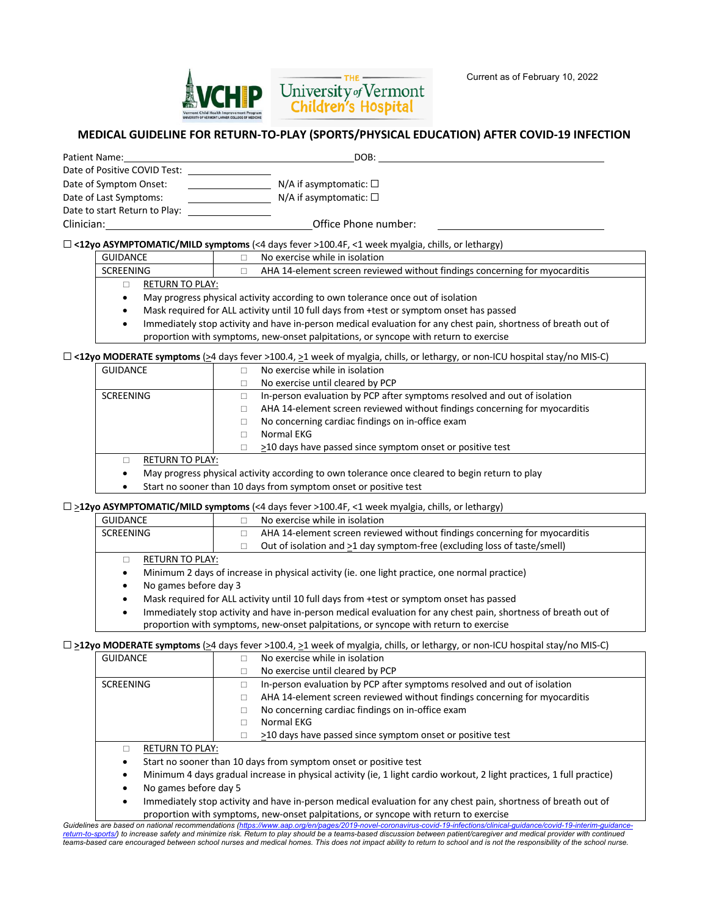

## **MEDICAL GUIDELINE FOR RETURN-TO-PLAY (SPORTS/PHYSICAL EDUCATION) AFTER COVID-19 INFECTION**

| Patient Name:                 | DOB:                           |  |
|-------------------------------|--------------------------------|--|
| Date of Positive COVID Test:  |                                |  |
| Date of Symptom Onset:        | N/A if asymptomatic: $\square$ |  |
| Date of Last Symptoms:        | N/A if asymptomatic: $\square$ |  |
| Date to start Return to Play: |                                |  |
| Clinician:                    | Office Phone number:           |  |

### ☐ **<12yo ASYMPTOMATIC/MILD symptoms** (<4 days fever >100.4F, <1 week myalgia, chills, or lethargy)

| <b>GUIDANCE</b> | No exercise while in isolation |  |
|-----------------|--------------------------------|--|

| --------        | ו ושטעו וווידע וווידו וווידע ושמש                                          |
|-----------------|----------------------------------------------------------------------------|
| SCREENING       | AHA 14-element screen reviewed without findings concerning for myocarditis |
| RETURN TO PLAY: |                                                                            |

- May progress physical activity according to own tolerance once out of isolation
- Mask required for ALL activity until 10 full days from +test or symptom onset has passed
- Immediately stop activity and have in-person medical evaluation for any chest pain, shortness of breath out of proportion with symptoms, new-onset palpitations, or syncope with return to exercise

### ☐ **<12yo MODERATE symptoms** (>4 days fever >100.4, >1 week of myalgia, chills, or lethargy, or non-ICU hospital stay/no MIS-C)

| <b>GUIDANCE</b>        | No exercise while in isolation                                             |
|------------------------|----------------------------------------------------------------------------|
|                        | No exercise until cleared by PCP                                           |
| SCREENING              | In-person evaluation by PCP after symptoms resolved and out of isolation   |
|                        | AHA 14-element screen reviewed without findings concerning for myocarditis |
|                        | No concerning cardiac findings on in-office exam                           |
|                        | Normal EKG                                                                 |
|                        | >10 days have passed since symptom onset or positive test                  |
| <b>RETURN TO PLAY:</b> |                                                                            |

- May progress physical activity according to own tolerance once cleared to begin return to play
- Start no sooner than 10 days from symptom onset or positive test

# ☐ >**12yo ASYMPTOMATIC/MILD symptoms** (<4 days fever >100.4F, <1 week myalgia, chills, or lethargy)

|                 | $\mathbf{y}$ , which is a contracted to $\mathbf{y}$ in $\mathbf{y}$ with $\mathbf{y}$ is the contracted to $\mathbf{y}$ and $\mathbf{y}$ is the contracted to $\mathbf{y}$ |
|-----------------|-----------------------------------------------------------------------------------------------------------------------------------------------------------------------------|
| GUIDANCE        | No exercise while in isolation                                                                                                                                              |
| SCREENING       | AHA 14-element screen reviewed without findings concerning for myocarditis                                                                                                  |
|                 | Out of isolation and >1 day symptom-free (excluding loss of taste/smell)                                                                                                    |
| RETURN TO PLAY: |                                                                                                                                                                             |
|                 | Minimum 2 days of increase in physical activity (ie one light practice one normal practice)                                                                                 |

- Minimum 2 days of increase in physical activity (ie. one light practice, one normal practice)
- No games before day 3
- Mask required for ALL activity until 10 full days from +test or symptom onset has passed
- Immediately stop activity and have in-person medical evaluation for any chest pain, shortness of breath out of proportion with symptoms, new-onset palpitations, or syncope with return to exercise

# □ **>12yo MODERATE symptoms** (>4 days fever >100.4, >1 week of myalgia, chills, or lethargy, or non-ICU hospital stay/no MIS-C)

| <b>GUIDANCE</b>        | No exercise while in isolation                                             |
|------------------------|----------------------------------------------------------------------------|
|                        | No exercise until cleared by PCP                                           |
| <b>SCREENING</b>       | In-person evaluation by PCP after symptoms resolved and out of isolation   |
|                        | AHA 14-element screen reviewed without findings concerning for myocarditis |
|                        | No concerning cardiac findings on in-office exam                           |
|                        | Normal EKG                                                                 |
|                        | >10 days have passed since symptom onset or positive test                  |
| <b>RETURN TO PLAY:</b> |                                                                            |
|                        |                                                                            |

- Start no sooner than 10 days from symptom onset or positive test
- Minimum 4 days gradual increase in physical activity (ie, 1 light cardio workout, 2 light practices, 1 full practice)
- No games before day 5
- Immediately stop activity and have in-person medical evaluation for any chest pain, shortness of breath out of proportion with symptoms, new-onset palpitations, or syncope with return to exercise

Guidelines are based on national recommendations (<u>https://www.aap.org/en/pages/2019-novel-coronavirus-covid-19-infections/clinical-guidance/covid-19-interim-guidance-<br><u>return-to-sports/</u>) to increase safety and minimize </u> *teams-based care encouraged between school nurses and medical homes. This does not impact ability to return to school and is not the responsibility of the school nurse.*